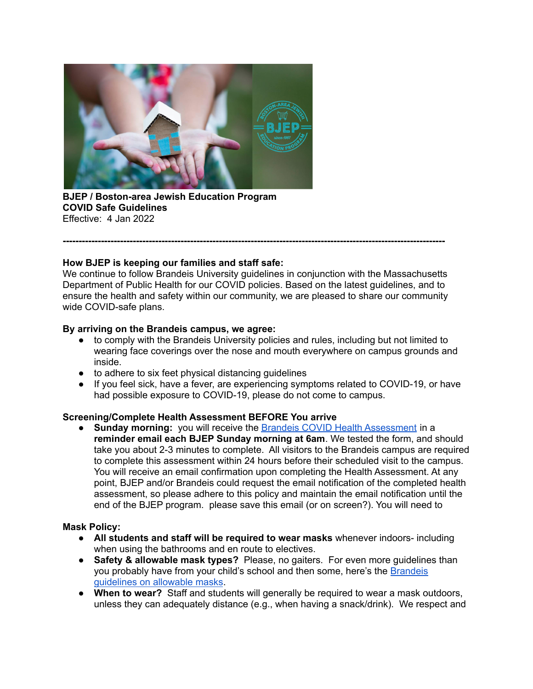

**BJEP / Boston-area Jewish Education Program COVID Safe Guidelines** Effective: 4 Jan 2022

## **How BJEP is keeping our families and staff safe:**

We continue to follow Brandeis University guidelines in conjunction with the Massachusetts Department of Public Health for our COVID policies. Based on the latest guidelines, and to ensure the health and safety within our community, we are pleased to share our community wide COVID-safe plans.

**------------------------------------------------------------------------------------------------------------------------**

### **By arriving on the Brandeis campus, we agree:**

- to comply with the Brandeis University policies and rules, including but not limited to wearing face coverings over the nose and mouth everywhere on campus grounds and inside.
- to adhere to six feet physical distancing guidelines
- If you feel sick, have a fever, are experiencing symptoms related to COVID-19, or have had possible exposure to COVID-19, please do not come to campus.

#### **Screening/Complete Health Assessment BEFORE You arrive**

● **Sunday morning:** you will receive the Brandeis COVID Health [Assessment](https://www.brandeis.edu/covid-19/before-campus/passport.html) in a **reminder email each BJEP Sunday morning at 6am**. We tested the form, and should take you about 2-3 minutes to complete. All visitors to the Brandeis campus are required to complete this assessment within 24 hours before their scheduled visit to the campus. You will receive an email confirmation upon completing the Health Assessment. At any point, BJEP and/or Brandeis could request the email notification of the completed health assessment, so please adhere to this policy and maintain the email notification until the end of the BJEP program. please save this email (or on screen?). You will need to

## **Mask Policy:**

- **All students and staff will be required to wear masks** whenever indoors- including when using the bathrooms and en route to electives.
- **Safety & allowable mask types?** Please, no gaiters. For even more guidelines than you probably have from your child's school and then some, here's the [Brandeis](https://www.brandeis.edu/covid-19/health-safety/masks.html) [guidelines](https://www.brandeis.edu/covid-19/health-safety/masks.html) on allowable masks.
- **When to wear?** Staff and students will generally be required to wear a mask outdoors, unless they can adequately distance (e.g., when having a snack/drink). We respect and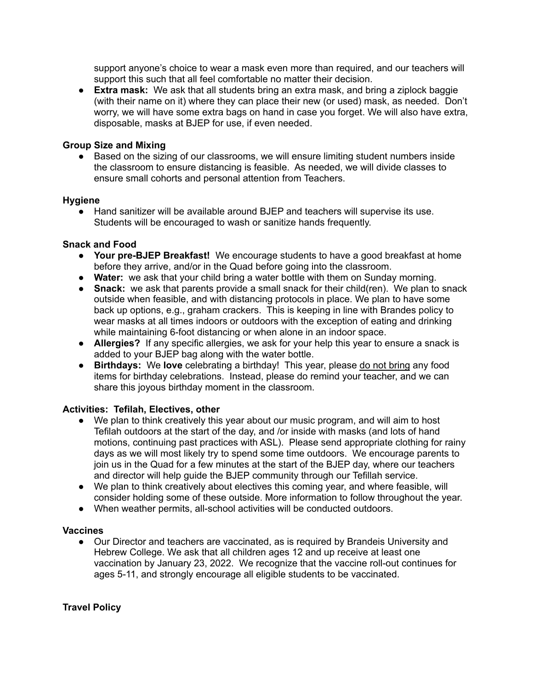support anyone's choice to wear a mask even more than required, and our teachers will support this such that all feel comfortable no matter their decision.

● **Extra mask:** We ask that all students bring an extra mask, and bring a ziplock baggie (with their name on it) where they can place their new (or used) mask, as needed. Don't worry, we will have some extra bags on hand in case you forget. We will also have extra, disposable, masks at BJEP for use, if even needed.

#### **Group Size and Mixing**

• Based on the sizing of our classrooms, we will ensure limiting student numbers inside the classroom to ensure distancing is feasible. As needed, we will divide classes to ensure small cohorts and personal attention from Teachers.

### **Hygiene**

● Hand sanitizer will be available around BJEP and teachers will supervise its use. Students will be encouraged to wash or sanitize hands frequently.

### **Snack and Food**

- **Your pre-BJEP Breakfast!** We encourage students to have a good breakfast at home before they arrive, and/or in the Quad before going into the classroom.
- **Water:** we ask that your child bring a water bottle with them on Sunday morning.
- **Snack:** we ask that parents provide a small snack for their child(ren). We plan to snack outside when feasible, and with distancing protocols in place. We plan to have some back up options, e.g., graham crackers. This is keeping in line with Brandes policy to wear masks at all times indoors or outdoors with the exception of eating and drinking while maintaining 6-foot distancing or when alone in an indoor space.
- **Allergies?** If any specific allergies, we ask for your help this year to ensure a snack is added to your BJEP bag along with the water bottle.
- **Birthdays:** We **love** celebrating a birthday! This year, please do not bring any food items for birthday celebrations. Instead, please do remind your teacher, and we can share this joyous birthday moment in the classroom.

## **Activities: Tefilah, Electives, other**

- We plan to think creatively this year about our music program, and will aim to host Tefilah outdoors at the start of the day, and /or inside with masks (and lots of hand motions, continuing past practices with ASL). Please send appropriate clothing for rainy days as we will most likely try to spend some time outdoors. We encourage parents to join us in the Quad for a few minutes at the start of the BJEP day, where our teachers and director will help guide the BJEP community through our Tefillah service.
- We plan to think creatively about electives this coming year, and where feasible, will consider holding some of these outside. More information to follow throughout the year.
- When weather permits, all-school activities will be conducted outdoors.

#### **Vaccines**

● Our Director and teachers are vaccinated, as is required by Brandeis University and Hebrew College. We ask that all children ages 12 and up receive at least one vaccination by January 23, 2022. We recognize that the vaccine roll-out continues for ages 5-11, and strongly encourage all eligible students to be vaccinated.

#### **Travel Policy**